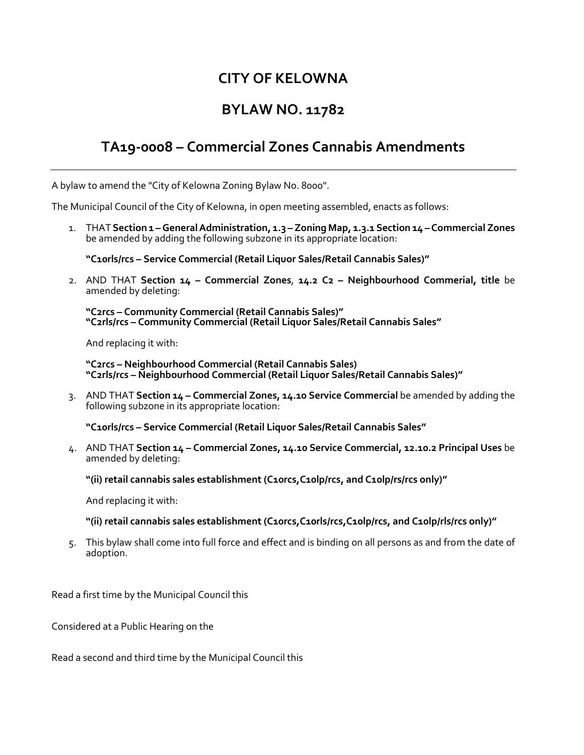## **CITY OF KELOWNA**

## **BYLAW NO. 11782**

## **TA19-0008 – Commercial Zones Cannabis Amendments**

A bylaw to amend the "City of Kelowna Zoning Bylaw No. 8000".

The Municipal Council of the City of Kelowna, in open meeting assembled, enacts as follows:

1. THAT **Section 1 –General Administration, 1.3 – Zoning Map, 1.3.1 Section 14 –Commercial Zones** be amended by adding the following subzone in its appropriate location:

**"C10rls/rcs – Service Commercial (Retail Liquor Sales/Retail Cannabis Sales)"**

2. AND THAT **Section 14 – Commercial Zones**, **14.2 C2 – Neighbourhood Commerial, title** be amended by deleting:

**"C2rcs – Community Commercial (Retail Cannabis Sales)" "C2rls/rcs – Community Commercial (Retail Liquor Sales/Retail Cannabis Sales"**

And replacing it with:

**"C2rcs – Neighbourhood Commercial (Retail Cannabis Sales) "C2rls/rcs – Neighbourhood Commercial (Retail Liquor Sales/Retail Cannabis Sales)"** 

3. AND THAT **Section 14 – Commercial Zones, 14.10 Service Commercial** be amended by adding the following subzone in its appropriate location:

**"C10rls/rcs – Service Commercial (Retail Liquor Sales/Retail Cannabis Sales"**

4. AND THAT **Section 14 – Commercial Zones, 14.10 Service Commercial, 12.10.2 Principal Uses** be amended by deleting:

**"(ii) retail cannabis sales establishment (C10rcs,C10lp/rcs, and C10lp/rs/rcs only)"**

And replacing it with:

**"(ii) retail cannabis sales establishment (C10rcs,C10rls/rcs,C10lp/rcs, and C10lp/rls/rcs only)"**

5. This bylaw shall come into full force and effect and is binding on all persons as and from the date of adoption.

Read a first time by the Municipal Council this

Considered at a Public Hearing on the

Read a second and third time by the Municipal Council this